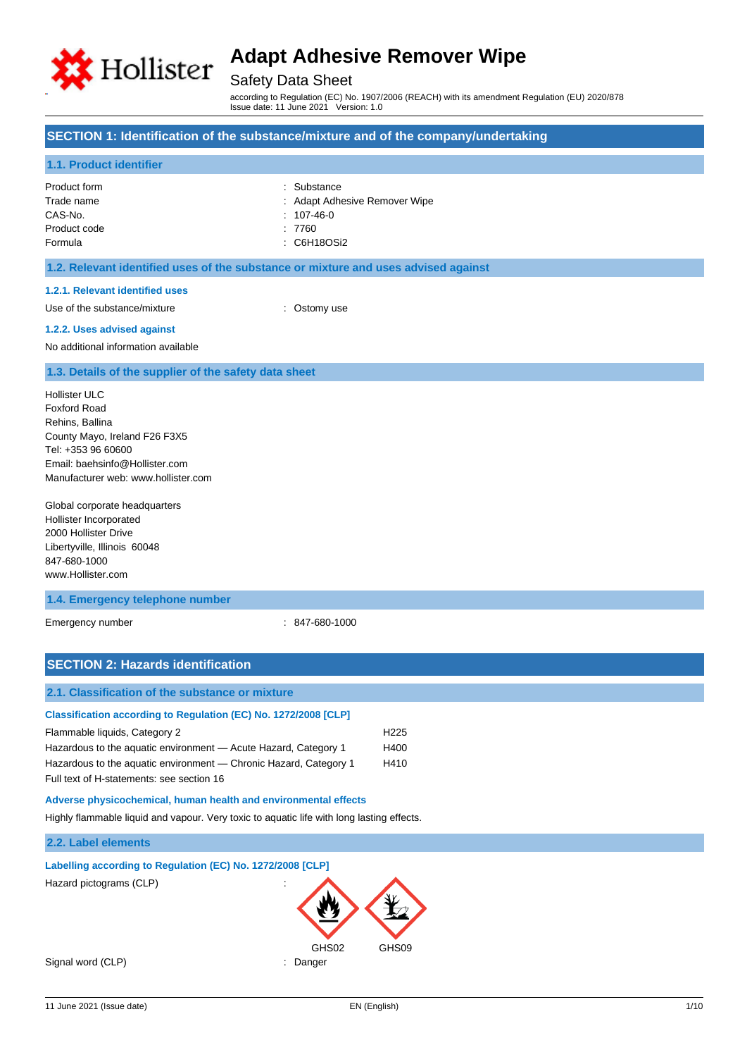

# Safety Data Sheet

according to Regulation (EC) No. 1907/2006 (REACH) with its amendment Regulation (EU) 2020/878 Issue date: 11 June 2021 Version: 1.0

## **SECTION 1: Identification of the substance/mixture and of the company/undertaking**

### **1.1. Product identifier**

| Product form | : Substance                   |
|--------------|-------------------------------|
| Trade name   | : Adapt Adhesive Remover Wipe |
| CAS-No.      | $: 107-46-0$                  |
| Product code | : 7760                        |
| Formula      | : C6H18OSi2                   |
|              |                               |

## **1.2. Relevant identified uses of the substance or mixture and uses advised against**

### **1.2.1. Relevant identified uses**

Use of the substance/mixture : Ostomy use

#### **1.2.2. Uses advised against**

No additional information available

### **1.3. Details of the supplier of the safety data sheet**

Hollister ULC Foxford Road Rehins, Ballina County Mayo, Ireland F26 F3X5 Tel: +353 96 60600 Email: baehsinfo@Hollister.com Manufacturer web: www.hollister.com

Global corporate headquarters Hollister Incorporated 2000 Hollister Drive Libertyville, Illinois 60048 847-680-1000 www.Hollister.com

### **1.4. Emergency telephone number**

Emergency number : 847-680-1000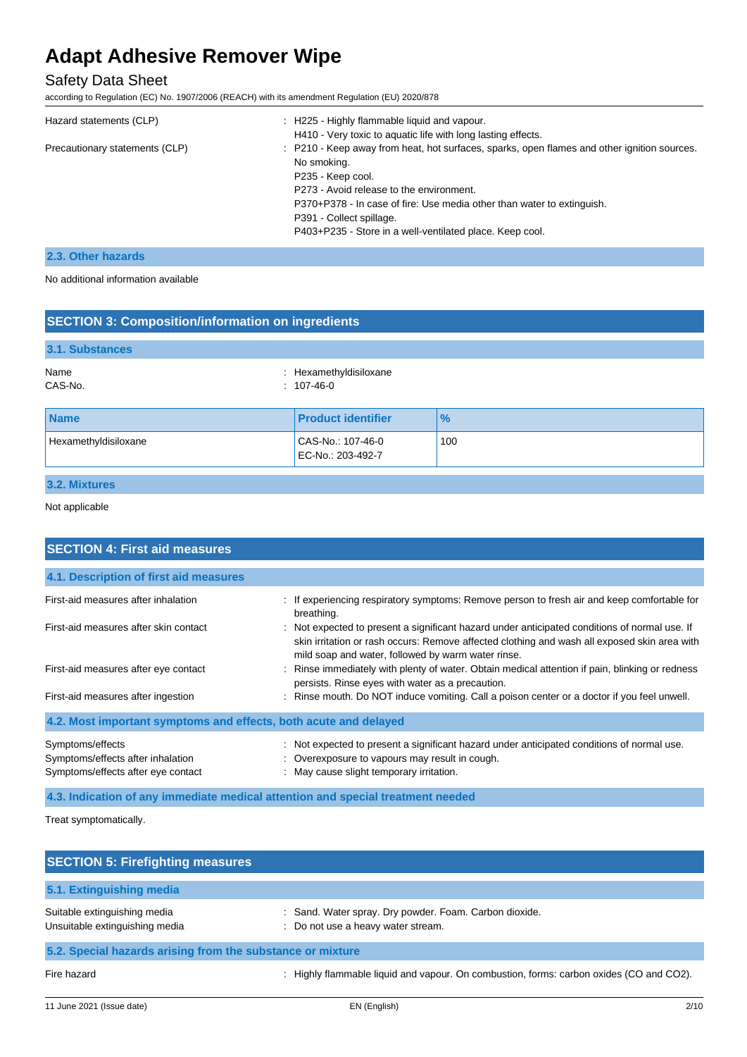# Safety Data Sheet

according to Regulation (EC) No. 1907/2006 (REACH) with its amendment Regulation (EU) 2020/878

| Hazard statements (CLP)        | H225 - Highly flammable liquid and vapour.                                                  |
|--------------------------------|---------------------------------------------------------------------------------------------|
|                                | H410 - Very toxic to aquatic life with long lasting effects.                                |
| Precautionary statements (CLP) | : P210 - Keep away from heat, hot surfaces, sparks, open flames and other ignition sources. |
|                                | No smoking.                                                                                 |
|                                | P235 - Keep cool.                                                                           |
|                                | P273 - Avoid release to the environment.                                                    |
|                                | P370+P378 - In case of fire: Use media other than water to extinguish.                      |
|                                | P391 - Collect spillage.                                                                    |
|                                | P403+P235 - Store in a well-ventilated place. Keep cool.                                    |
|                                |                                                                                             |

## **2.3. Other hazards**

No additional information available

| <b>SECTION 3: Composition/information on ingredients</b> |                                        |               |
|----------------------------------------------------------|----------------------------------------|---------------|
| 3.1. Substances                                          |                                        |               |
| Name<br>CAS-No.                                          | : Hexamethyldisiloxane<br>$: 107-46-0$ |               |
| <b>Name</b>                                              | <b>Product identifier</b>              | $\frac{1}{2}$ |
| Hexamethyldisiloxane                                     | CAS-No.: 107-46-0<br>EC-No.: 203-492-7 | 100           |
| $\sim$ $\sim$ $\sim$ $\sim$                              |                                        |               |

# **3.2. Mixtures**

Not applicable

| <b>SECTION 4: First aid measures</b>                                                        |                                                                                                                                                                                                                                                     |  |  |
|---------------------------------------------------------------------------------------------|-----------------------------------------------------------------------------------------------------------------------------------------------------------------------------------------------------------------------------------------------------|--|--|
| 4.1. Description of first aid measures                                                      |                                                                                                                                                                                                                                                     |  |  |
| First-aid measures after inhalation                                                         | : If experiencing respiratory symptoms: Remove person to fresh air and keep comfortable for<br>breathing.                                                                                                                                           |  |  |
| First-aid measures after skin contact                                                       | : Not expected to present a significant hazard under anticipated conditions of normal use. If<br>skin irritation or rash occurs: Remove affected clothing and wash all exposed skin area with<br>mild soap and water, followed by warm water rinse. |  |  |
| First-aid measures after eye contact                                                        | Rinse immediately with plenty of water. Obtain medical attention if pain, blinking or redness<br>persists. Rinse eyes with water as a precaution.                                                                                                   |  |  |
| First-aid measures after ingestion                                                          | : Rinse mouth. Do NOT induce vomiting. Call a poison center or a doctor if you feel unwell.                                                                                                                                                         |  |  |
| 4.2. Most important symptoms and effects, both acute and delayed                            |                                                                                                                                                                                                                                                     |  |  |
| Symptoms/effects<br>Symptoms/effects after inhalation<br>Symptoms/effects after eye contact | : Not expected to present a significant hazard under anticipated conditions of normal use.<br>: Overexposure to vapours may result in cough.<br>: May cause slight temporary irritation.                                                            |  |  |
| 4.3. Indication of any immediate medical attention and special treatment needed             |                                                                                                                                                                                                                                                     |  |  |

Treat symptomatically.

| <b>SECTION 5: Firefighting measures</b>                        |                                                                                              |
|----------------------------------------------------------------|----------------------------------------------------------------------------------------------|
| 5.1. Extinguishing media                                       |                                                                                              |
| Suitable extinguishing media<br>Unsuitable extinguishing media | : Sand. Water spray. Dry powder. Foam. Carbon dioxide.<br>: Do not use a heavy water stream. |
| 5.2. Special hazards arising from the substance or mixture     |                                                                                              |
| Fire hazard                                                    | Highly flammable liquid and vapour. On combustion, forms: carbon oxides (CO and CO2).        |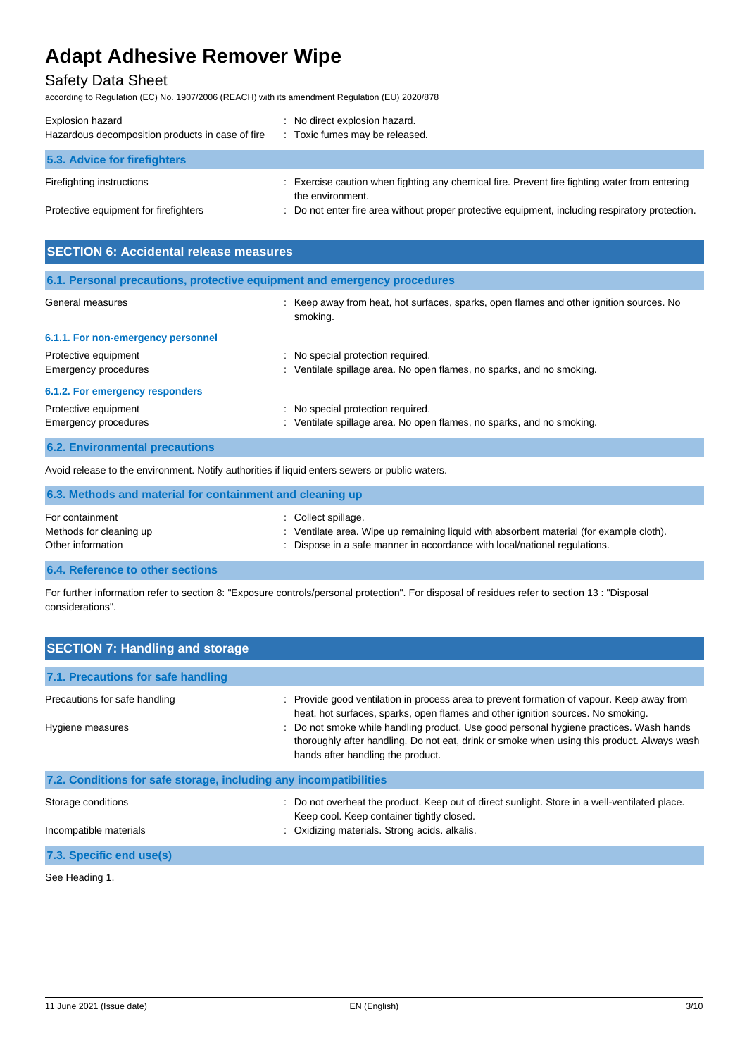# Safety Data Sheet

according to Regulation (EC) No. 1907/2006 (REACH) with its amendment Regulation (EU) 2020/878

| Explosion hazard<br>Hazardous decomposition products in case of fire | : No direct explosion hazard.<br>: Toxic fumes may be released.                                                   |
|----------------------------------------------------------------------|-------------------------------------------------------------------------------------------------------------------|
| 5.3. Advice for firefighters                                         |                                                                                                                   |
| Firefighting instructions                                            | : Exercise caution when fighting any chemical fire. Prevent fire fighting water from entering<br>the environment. |
| Protective equipment for firefighters                                | : Do not enter fire area without proper protective equipment, including respiratory protection.                   |

| <b>SECTION 6: Accidental release measures</b> |                                                                                                            |  |  |
|-----------------------------------------------|------------------------------------------------------------------------------------------------------------|--|--|
|                                               | 6.1. Personal precautions, protective equipment and emergency procedures                                   |  |  |
| General measures                              | : Keep away from heat, hot surfaces, sparks, open flames and other ignition sources. No<br>smoking.        |  |  |
| 6.1.1. For non-emergency personnel            |                                                                                                            |  |  |
| Protective equipment<br>Emergency procedures  | : No special protection required.<br>: Ventilate spillage area. No open flames, no sparks, and no smoking. |  |  |
| 6.1.2. For emergency responders               |                                                                                                            |  |  |
| Protective equipment<br>Emergency procedures  | : No special protection required.<br>: Ventilate spillage area. No open flames, no sparks, and no smoking. |  |  |
| <b>6.2. Environmental precautions</b>         |                                                                                                            |  |  |

Avoid release to the environment. Notify authorities if liquid enters sewers or public waters.

| 6.3. Methods and material for containment and cleaning up       |                                                                                                                                                                                             |
|-----------------------------------------------------------------|---------------------------------------------------------------------------------------------------------------------------------------------------------------------------------------------|
| For containment<br>Methods for cleaning up<br>Other information | : Collect spillage.<br>: Ventilate area. Wipe up remaining liquid with absorbent material (for example cloth).<br>: Dispose in a safe manner in accordance with local/national regulations. |
| A 4 Billian compared with an american                           |                                                                                                                                                                                             |

**6.4. Reference to other sections**

For further information refer to section 8: "Exposure controls/personal protection". For disposal of residues refer to section 13 : "Disposal considerations".

| <b>SECTION 7: Handling and storage</b>                                                                                                                                                                                                                                                                                                                                                                                                                         |                                                                                                                                                                                             |
|----------------------------------------------------------------------------------------------------------------------------------------------------------------------------------------------------------------------------------------------------------------------------------------------------------------------------------------------------------------------------------------------------------------------------------------------------------------|---------------------------------------------------------------------------------------------------------------------------------------------------------------------------------------------|
| 7.1. Precautions for safe handling                                                                                                                                                                                                                                                                                                                                                                                                                             |                                                                                                                                                                                             |
| : Provide good ventilation in process area to prevent formation of vapour. Keep away from<br>Precautions for safe handling<br>heat, hot surfaces, sparks, open flames and other ignition sources. No smoking.<br>: Do not smoke while handling product. Use good personal hygiene practices. Wash hands<br>Hygiene measures<br>thoroughly after handling. Do not eat, drink or smoke when using this product. Always wash<br>hands after handling the product. |                                                                                                                                                                                             |
| 7.2. Conditions for safe storage, including any incompatibilities                                                                                                                                                                                                                                                                                                                                                                                              |                                                                                                                                                                                             |
| Storage conditions<br>Incompatible materials                                                                                                                                                                                                                                                                                                                                                                                                                   | : Do not overheat the product. Keep out of direct sunlight. Store in a well-ventilated place.<br>Keep cool. Keep container tightly closed.<br>: Oxidizing materials. Strong acids. alkalis. |
| 7.3. Specific end use(s)                                                                                                                                                                                                                                                                                                                                                                                                                                       |                                                                                                                                                                                             |
| See Heading 1.                                                                                                                                                                                                                                                                                                                                                                                                                                                 |                                                                                                                                                                                             |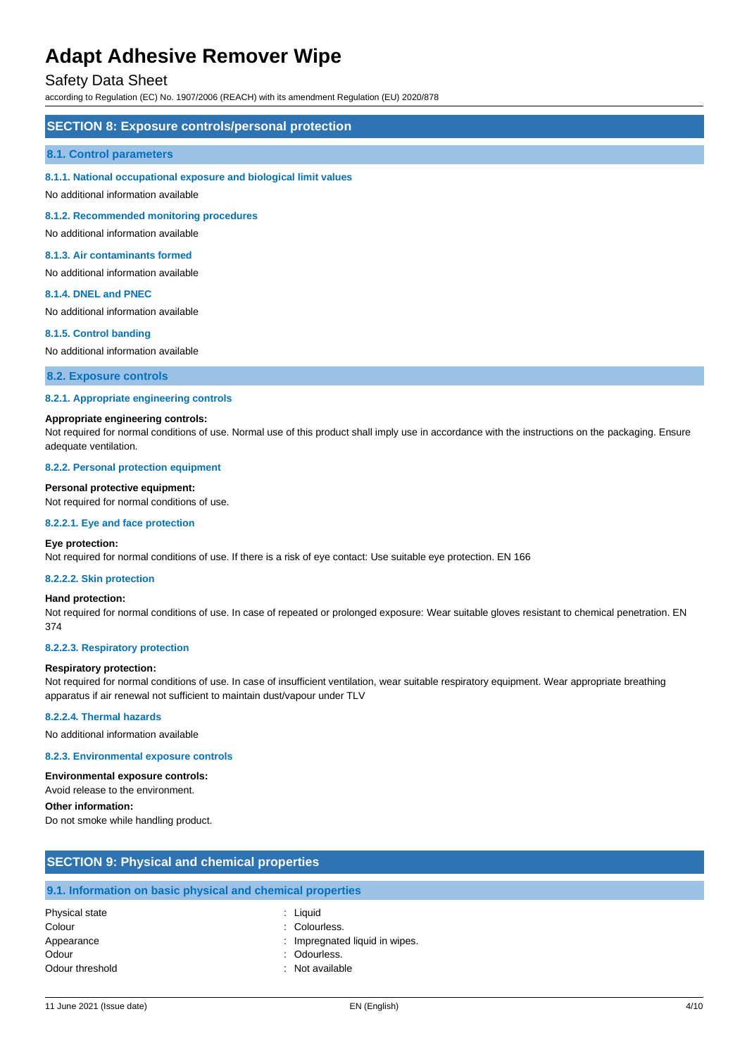## Safety Data Sheet

according to Regulation (EC) No. 1907/2006 (REACH) with its amendment Regulation (EU) 2020/878

### **SECTION 8: Exposure controls/personal protection**

#### **8.1. Control parameters**

#### **8.1.1. National occupational exposure and biological limit values**

No additional information available

**8.1.2. Recommended monitoring procedures**

No additional information available

#### **8.1.3. Air contaminants formed**

No additional information available

#### **8.1.4. DNEL and PNEC**

No additional information available

#### **8.1.5. Control banding**

No additional information available

**8.2. Exposure controls**

#### **8.2.1. Appropriate engineering controls**

### **Appropriate engineering controls:**

Not required for normal conditions of use. Normal use of this product shall imply use in accordance with the instructions on the packaging. Ensure adequate ventilation.

#### **8.2.2. Personal protection equipment**

**Personal protective equipment:**

Not required for normal conditions of use.

#### **8.2.2.1. Eye and face protection**

#### **Eye protection:**

Not required for normal conditions of use. If there is a risk of eye contact: Use suitable eye protection. EN 166

#### **8.2.2.2. Skin protection**

#### **Hand protection:**

Not required for normal conditions of use. In case of repeated or prolonged exposure: Wear suitable gloves resistant to chemical penetration. EN 374

#### **8.2.2.3. Respiratory protection**

#### **Respiratory protection:**

Not required for normal conditions of use. In case of insufficient ventilation, wear suitable respiratory equipment. Wear appropriate breathing apparatus if air renewal not sufficient to maintain dust/vapour under TLV

#### **8.2.2.4. Thermal hazards**

No additional information available

#### **8.2.3. Environmental exposure controls**

#### **Environmental exposure controls:**

Avoid release to the environment.

**Other information:**

Do not smoke while handling product.

# **SECTION 9: Physical and chemical properties 9.1. Information on basic physical and chemical properties** Physical state : Liquid Colour : Colourless.

| Appearance | : Impregnated liquid in wipes. |
|------------|--------------------------------|
| Odour      | : Odourless.                   |

Odour threshold **in the set of the set of the set of the set of the set of the set of the set of the set of the set of the set of the set of the set of the set of the set of the set of the set of the set of the set of the**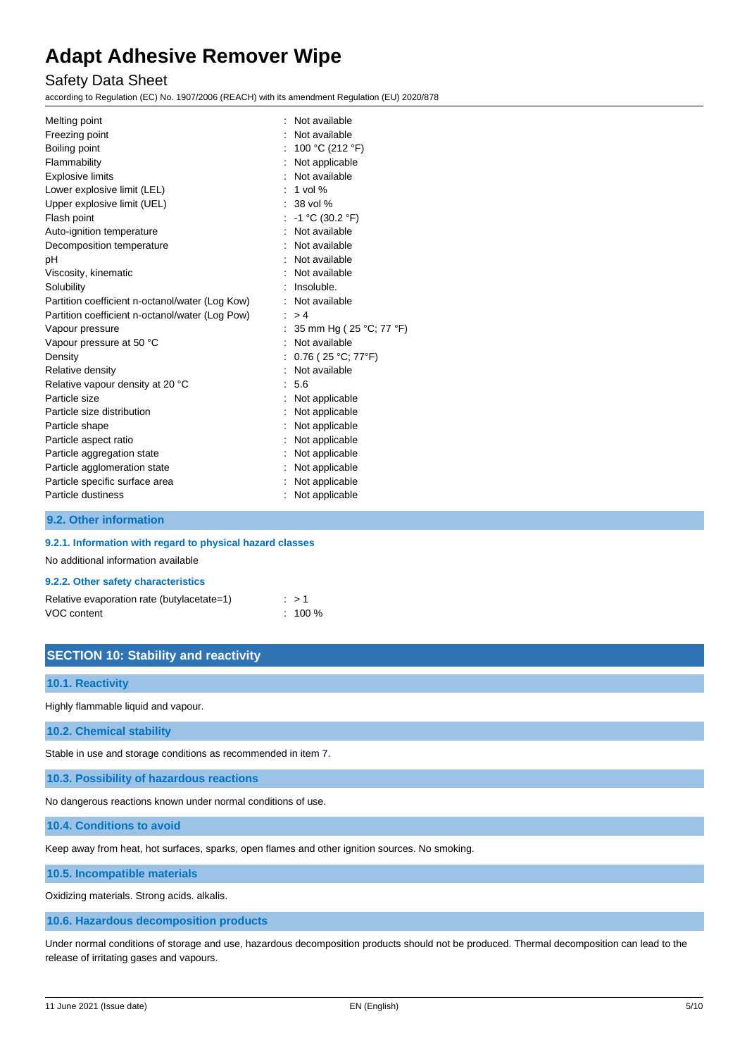## Safety Data Sheet

according to Regulation (EC) No. 1907/2006 (REACH) with its amendment Regulation (EU) 2020/878

| Melting point                                   |    | Not available           |
|-------------------------------------------------|----|-------------------------|
| Freezing point                                  |    | Not available           |
| Boiling point                                   |    | : 100 °C (212 °F)       |
| Flammability                                    |    | : Not applicable        |
| <b>Explosive limits</b>                         |    | : Not available         |
| Lower explosive limit (LEL)                     |    | $: 1$ vol %             |
| Upper explosive limit (UEL)                     |    | $: 38$ vol %            |
| Flash point                                     |    | $-1$ °C (30.2 °F)       |
| Auto-ignition temperature                       |    | : Not available         |
| Decomposition temperature                       |    | : Not available         |
| рH                                              |    | : Not available         |
| Viscosity, kinematic                            |    | : Not available         |
| Solubility                                      |    | : Insoluble.            |
| Partition coefficient n-octanol/water (Log Kow) |    | : Not available         |
| Partition coefficient n-octanol/water (Log Pow) | ÷. | >4                      |
| Vapour pressure                                 |    | 35 mm Hg (25 °C; 77 °F) |
| Vapour pressure at 50 °C                        |    | Not available           |
| Density                                         |    | : $0.76$ (25 °C; 77°F)  |
| Relative density                                |    | Not available           |
| Relative vapour density at 20 °C                |    | : 5.6                   |
| Particle size                                   |    | : Not applicable        |
| Particle size distribution                      |    | Not applicable          |
| Particle shape                                  |    | : Not applicable        |
| Particle aspect ratio                           |    | : Not applicable        |
| Particle aggregation state                      |    | : Not applicable        |
| Particle agglomeration state                    |    | Not applicable          |
| Particle specific surface area                  |    | Not applicable          |
| Particle dustiness                              |    | Not applicable          |

## **9.2. Other information**

### **9.2.1. Information with regard to physical hazard classes**

No additional information available

### **9.2.2. Other safety characteristics**

| Relative evaporation rate (butylacetate=1) | $\therefore$ > 1   |
|--------------------------------------------|--------------------|
| VOC content                                | $\therefore$ 100 % |

## **SECTION 10: Stability and reactivity**

### **10.1. Reactivity**

Highly flammable liquid and vapour.

**10.2. Chemical stability**

Stable in use and storage conditions as recommended in item 7.

**10.3. Possibility of hazardous reactions**

No dangerous reactions known under normal conditions of use.

**10.4. Conditions to avoid**

Keep away from heat, hot surfaces, sparks, open flames and other ignition sources. No smoking.

**10.5. Incompatible materials**

Oxidizing materials. Strong acids. alkalis.

**10.6. Hazardous decomposition products**

Under normal conditions of storage and use, hazardous decomposition products should not be produced. Thermal decomposition can lead to the release of irritating gases and vapours.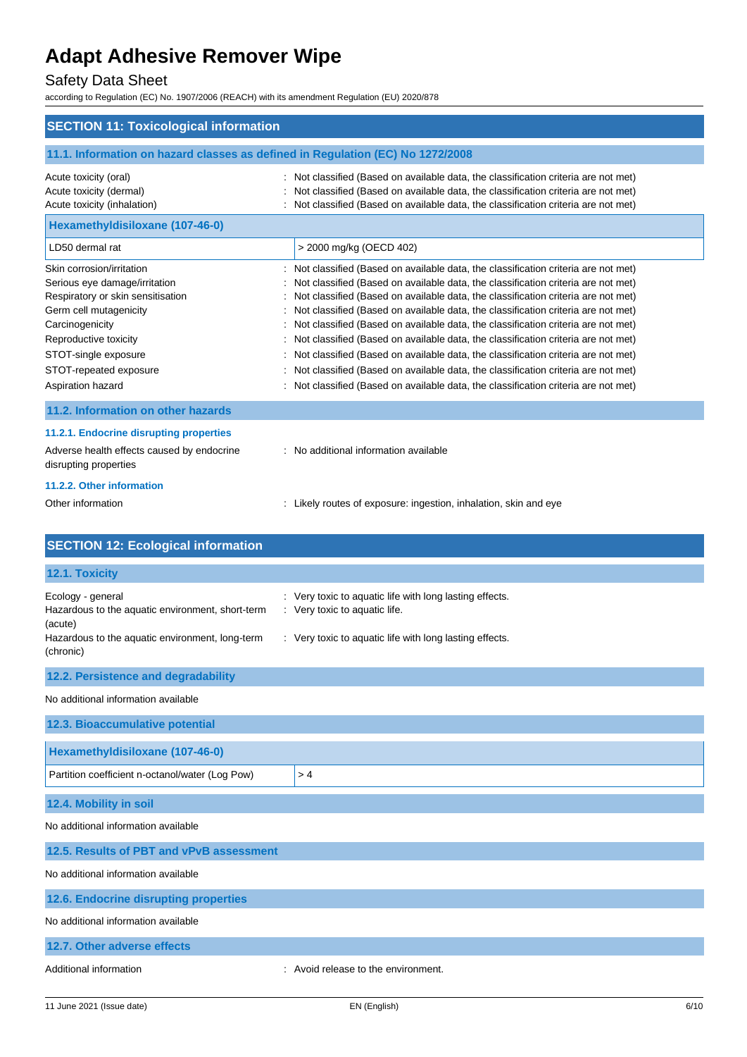# Safety Data Sheet

according to Regulation (EC) No. 1907/2006 (REACH) with its amendment Regulation (EU) 2020/878

| <b>SECTION 11: Toxicological information</b>                                                                                                                                                                                                 |                                                                                                                                                                                                                                                                                                                                                                                                                                                                                                                                                                                                                                                                                                                                                                                           |
|----------------------------------------------------------------------------------------------------------------------------------------------------------------------------------------------------------------------------------------------|-------------------------------------------------------------------------------------------------------------------------------------------------------------------------------------------------------------------------------------------------------------------------------------------------------------------------------------------------------------------------------------------------------------------------------------------------------------------------------------------------------------------------------------------------------------------------------------------------------------------------------------------------------------------------------------------------------------------------------------------------------------------------------------------|
| 11.1. Information on hazard classes as defined in Regulation (EC) No 1272/2008                                                                                                                                                               |                                                                                                                                                                                                                                                                                                                                                                                                                                                                                                                                                                                                                                                                                                                                                                                           |
| Acute toxicity (oral)<br>Acute toxicity (dermal)<br>Acute toxicity (inhalation)                                                                                                                                                              | : Not classified (Based on available data, the classification criteria are not met)<br>Not classified (Based on available data, the classification criteria are not met)<br>Not classified (Based on available data, the classification criteria are not met)                                                                                                                                                                                                                                                                                                                                                                                                                                                                                                                             |
| Hexamethyldisiloxane (107-46-0)                                                                                                                                                                                                              |                                                                                                                                                                                                                                                                                                                                                                                                                                                                                                                                                                                                                                                                                                                                                                                           |
| LD50 dermal rat                                                                                                                                                                                                                              | > 2000 mg/kg (OECD 402)                                                                                                                                                                                                                                                                                                                                                                                                                                                                                                                                                                                                                                                                                                                                                                   |
| Skin corrosion/irritation<br>Serious eye damage/irritation<br>Respiratory or skin sensitisation<br>Germ cell mutagenicity<br>Carcinogenicity<br>Reproductive toxicity<br>STOT-single exposure<br>STOT-repeated exposure<br>Aspiration hazard | Not classified (Based on available data, the classification criteria are not met)<br>Not classified (Based on available data, the classification criteria are not met)<br>Not classified (Based on available data, the classification criteria are not met)<br>Not classified (Based on available data, the classification criteria are not met)<br>Not classified (Based on available data, the classification criteria are not met)<br>Not classified (Based on available data, the classification criteria are not met)<br>Not classified (Based on available data, the classification criteria are not met)<br>Not classified (Based on available data, the classification criteria are not met)<br>Not classified (Based on available data, the classification criteria are not met) |
| 11.2. Information on other hazards                                                                                                                                                                                                           |                                                                                                                                                                                                                                                                                                                                                                                                                                                                                                                                                                                                                                                                                                                                                                                           |
| 11.2.1. Endocrine disrupting properties<br>Adverse health effects caused by endocrine<br>disrupting properties                                                                                                                               | : No additional information available                                                                                                                                                                                                                                                                                                                                                                                                                                                                                                                                                                                                                                                                                                                                                     |
| 11.2.2. Other information<br>Other information                                                                                                                                                                                               | : Likely routes of exposure: ingestion, inhalation, skin and eye                                                                                                                                                                                                                                                                                                                                                                                                                                                                                                                                                                                                                                                                                                                          |
| <b>SECTION 12: Ecological information</b>                                                                                                                                                                                                    |                                                                                                                                                                                                                                                                                                                                                                                                                                                                                                                                                                                                                                                                                                                                                                                           |
| 12.1. Toxicity                                                                                                                                                                                                                               |                                                                                                                                                                                                                                                                                                                                                                                                                                                                                                                                                                                                                                                                                                                                                                                           |
| Ecology - general<br>Hazardous to the aquatic environment, short-term<br>(acute)<br>Hazardous to the aquatic environment, long-term<br>(chronic)                                                                                             | : Very toxic to aquatic life with long lasting effects.<br>: Very toxic to aquatic life.<br>: Very toxic to aquatic life with long lasting effects.                                                                                                                                                                                                                                                                                                                                                                                                                                                                                                                                                                                                                                       |
| 12.2. Persistence and degradability                                                                                                                                                                                                          |                                                                                                                                                                                                                                                                                                                                                                                                                                                                                                                                                                                                                                                                                                                                                                                           |
| No additional information available                                                                                                                                                                                                          |                                                                                                                                                                                                                                                                                                                                                                                                                                                                                                                                                                                                                                                                                                                                                                                           |
| 12.3. Bioaccumulative potential                                                                                                                                                                                                              |                                                                                                                                                                                                                                                                                                                                                                                                                                                                                                                                                                                                                                                                                                                                                                                           |
| Hexamethyldisiloxane (107-46-0)                                                                                                                                                                                                              |                                                                                                                                                                                                                                                                                                                                                                                                                                                                                                                                                                                                                                                                                                                                                                                           |
| Partition coefficient n-octanol/water (Log Pow)                                                                                                                                                                                              | >4                                                                                                                                                                                                                                                                                                                                                                                                                                                                                                                                                                                                                                                                                                                                                                                        |
| 12.4. Mobility in soil                                                                                                                                                                                                                       |                                                                                                                                                                                                                                                                                                                                                                                                                                                                                                                                                                                                                                                                                                                                                                                           |
| No additional information available                                                                                                                                                                                                          |                                                                                                                                                                                                                                                                                                                                                                                                                                                                                                                                                                                                                                                                                                                                                                                           |
| 12.5. Results of PBT and vPvB assessment                                                                                                                                                                                                     |                                                                                                                                                                                                                                                                                                                                                                                                                                                                                                                                                                                                                                                                                                                                                                                           |
| No additional information available                                                                                                                                                                                                          |                                                                                                                                                                                                                                                                                                                                                                                                                                                                                                                                                                                                                                                                                                                                                                                           |
| 12.6. Endocrine disrupting properties                                                                                                                                                                                                        |                                                                                                                                                                                                                                                                                                                                                                                                                                                                                                                                                                                                                                                                                                                                                                                           |
| No additional information available                                                                                                                                                                                                          |                                                                                                                                                                                                                                                                                                                                                                                                                                                                                                                                                                                                                                                                                                                                                                                           |
| 12.7. Other adverse effects                                                                                                                                                                                                                  |                                                                                                                                                                                                                                                                                                                                                                                                                                                                                                                                                                                                                                                                                                                                                                                           |
| Additional information                                                                                                                                                                                                                       | : Avoid release to the environment.                                                                                                                                                                                                                                                                                                                                                                                                                                                                                                                                                                                                                                                                                                                                                       |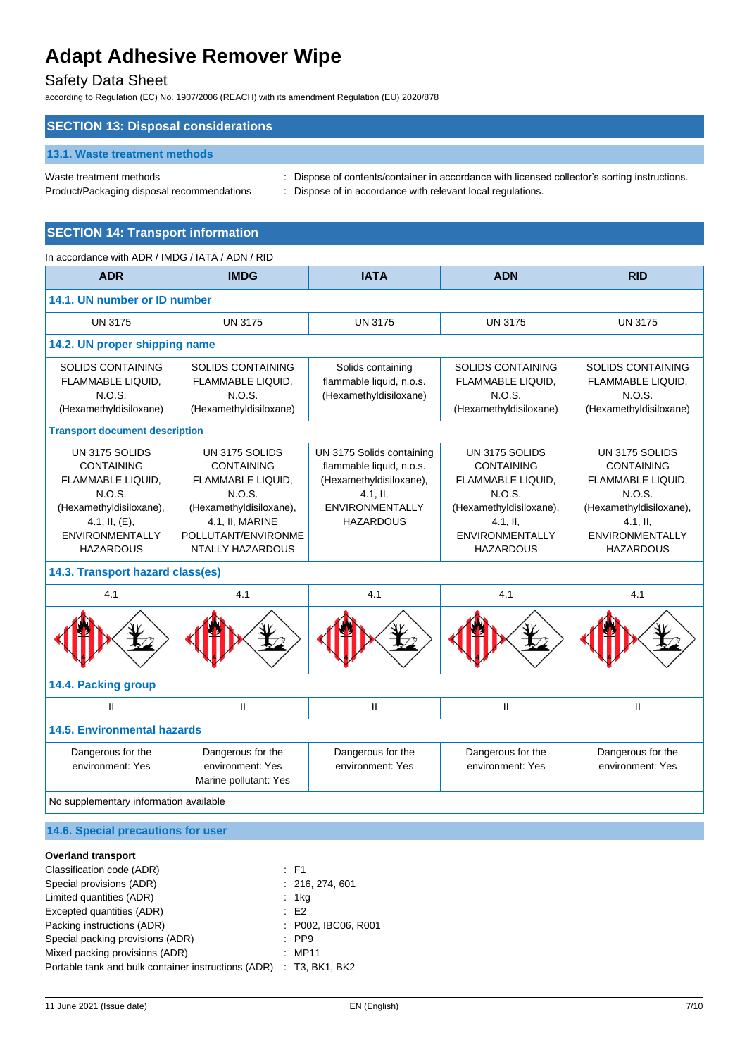## Safety Data Sheet

according to Regulation (EC) No. 1907/2006 (REACH) with its amendment Regulation (EU) 2020/878

## **SECTION 13: Disposal considerations**

### **13.1. Waste treatment methods**

Waste treatment methods : Dispose of contents/container in accordance with licensed collector's sorting instructions.

Product/Packaging disposal recommendations : Dispose of in accordance with relevant local regulations.

## **SECTION 14: Transport information**

| <b>ADR</b><br><b>IMDG</b><br><b>IATA</b><br><b>ADN</b><br><b>RID</b><br>14.1. UN number or ID number<br><b>UN 3175</b><br><b>UN 3175</b><br><b>UN 3175</b><br><b>UN 3175</b><br><b>UN 3175</b><br>14.2. UN proper shipping name<br><b>SOLIDS CONTAINING</b><br><b>SOLIDS CONTAINING</b><br><b>SOLIDS CONTAINING</b><br><b>SOLIDS CONTAINING</b><br>Solids containing<br>FLAMMABLE LIQUID,<br>FLAMMABLE LIQUID,<br>flammable liquid, n.o.s.<br>FLAMMABLE LIQUID,<br>FLAMMABLE LIQUID,<br>N.O.S.<br>N.O.S.<br>N.O.S.<br>(Hexamethyldisiloxane)<br>N.O.S.<br>(Hexamethyldisiloxane)<br>(Hexamethyldisiloxane)<br>(Hexamethyldisiloxane)<br>(Hexamethyldisiloxane)<br><b>Transport document description</b><br>UN 3175 SOLIDS<br>UN 3175 SOLIDS<br>UN 3175 SOLIDS<br>UN 3175 Solids containing<br>UN 3175 SOLIDS<br><b>CONTAINING</b><br><b>CONTAINING</b><br>flammable liquid, n.o.s.<br><b>CONTAINING</b><br><b>CONTAINING</b><br>FLAMMABLE LIQUID,<br>FLAMMABLE LIQUID,<br>(Hexamethyldisiloxane),<br>FLAMMABLE LIQUID,<br>FLAMMABLE LIQUID,<br>N.O.S.<br>N.O.S.<br>N.O.S.<br>N.O.S.<br>$4.1,$ II,<br>(Hexamethyldisiloxane),<br>(Hexamethyldisiloxane),<br><b>ENVIRONMENTALLY</b><br>(Hexamethyldisiloxane),<br>(Hexamethyldisiloxane),<br>4.1, II, $(E)$ ,<br>4.1, II, MARINE<br><b>HAZARDOUS</b><br>$4.1,$ II,<br>$4.1,$ II,<br><b>ENVIRONMENTALLY</b><br>POLLUTANT/ENVIRONME<br><b>ENVIRONMENTALLY</b><br><b>ENVIRONMENTALLY</b><br><b>HAZARDOUS</b><br><b>NTALLY HAZARDOUS</b><br><b>HAZARDOUS</b><br><b>HAZARDOUS</b><br>14.3. Transport hazard class(es)<br>4.1<br>4.1<br>4.1<br>4.1<br>4.1<br>14.4. Packing group<br>$\mathbf{H}$<br>$\mathbf{II}$<br>Ш<br>$\mathbf{H}$<br>$\mathbf{H}$<br><b>14.5. Environmental hazards</b><br>Dangerous for the<br>Dangerous for the<br>Dangerous for the<br>Dangerous for the<br>Dangerous for the<br>environment: Yes<br>environment: Yes<br>environment: Yes<br>environment: Yes<br>environment: Yes<br>Marine pollutant: Yes<br>No supplementary information available | In accordance with ADR / IMDG / IATA / ADN / RID |  |  |  |  |
|----------------------------------------------------------------------------------------------------------------------------------------------------------------------------------------------------------------------------------------------------------------------------------------------------------------------------------------------------------------------------------------------------------------------------------------------------------------------------------------------------------------------------------------------------------------------------------------------------------------------------------------------------------------------------------------------------------------------------------------------------------------------------------------------------------------------------------------------------------------------------------------------------------------------------------------------------------------------------------------------------------------------------------------------------------------------------------------------------------------------------------------------------------------------------------------------------------------------------------------------------------------------------------------------------------------------------------------------------------------------------------------------------------------------------------------------------------------------------------------------------------------------------------------------------------------------------------------------------------------------------------------------------------------------------------------------------------------------------------------------------------------------------------------------------------------------------------------------------------------------------------------------------------------------------------------------------------------------------------------------------------------------|--------------------------------------------------|--|--|--|--|
|                                                                                                                                                                                                                                                                                                                                                                                                                                                                                                                                                                                                                                                                                                                                                                                                                                                                                                                                                                                                                                                                                                                                                                                                                                                                                                                                                                                                                                                                                                                                                                                                                                                                                                                                                                                                                                                                                                                                                                                                                      |                                                  |  |  |  |  |
|                                                                                                                                                                                                                                                                                                                                                                                                                                                                                                                                                                                                                                                                                                                                                                                                                                                                                                                                                                                                                                                                                                                                                                                                                                                                                                                                                                                                                                                                                                                                                                                                                                                                                                                                                                                                                                                                                                                                                                                                                      |                                                  |  |  |  |  |
|                                                                                                                                                                                                                                                                                                                                                                                                                                                                                                                                                                                                                                                                                                                                                                                                                                                                                                                                                                                                                                                                                                                                                                                                                                                                                                                                                                                                                                                                                                                                                                                                                                                                                                                                                                                                                                                                                                                                                                                                                      |                                                  |  |  |  |  |
|                                                                                                                                                                                                                                                                                                                                                                                                                                                                                                                                                                                                                                                                                                                                                                                                                                                                                                                                                                                                                                                                                                                                                                                                                                                                                                                                                                                                                                                                                                                                                                                                                                                                                                                                                                                                                                                                                                                                                                                                                      |                                                  |  |  |  |  |
|                                                                                                                                                                                                                                                                                                                                                                                                                                                                                                                                                                                                                                                                                                                                                                                                                                                                                                                                                                                                                                                                                                                                                                                                                                                                                                                                                                                                                                                                                                                                                                                                                                                                                                                                                                                                                                                                                                                                                                                                                      |                                                  |  |  |  |  |
|                                                                                                                                                                                                                                                                                                                                                                                                                                                                                                                                                                                                                                                                                                                                                                                                                                                                                                                                                                                                                                                                                                                                                                                                                                                                                                                                                                                                                                                                                                                                                                                                                                                                                                                                                                                                                                                                                                                                                                                                                      |                                                  |  |  |  |  |
|                                                                                                                                                                                                                                                                                                                                                                                                                                                                                                                                                                                                                                                                                                                                                                                                                                                                                                                                                                                                                                                                                                                                                                                                                                                                                                                                                                                                                                                                                                                                                                                                                                                                                                                                                                                                                                                                                                                                                                                                                      |                                                  |  |  |  |  |
|                                                                                                                                                                                                                                                                                                                                                                                                                                                                                                                                                                                                                                                                                                                                                                                                                                                                                                                                                                                                                                                                                                                                                                                                                                                                                                                                                                                                                                                                                                                                                                                                                                                                                                                                                                                                                                                                                                                                                                                                                      |                                                  |  |  |  |  |
|                                                                                                                                                                                                                                                                                                                                                                                                                                                                                                                                                                                                                                                                                                                                                                                                                                                                                                                                                                                                                                                                                                                                                                                                                                                                                                                                                                                                                                                                                                                                                                                                                                                                                                                                                                                                                                                                                                                                                                                                                      |                                                  |  |  |  |  |
|                                                                                                                                                                                                                                                                                                                                                                                                                                                                                                                                                                                                                                                                                                                                                                                                                                                                                                                                                                                                                                                                                                                                                                                                                                                                                                                                                                                                                                                                                                                                                                                                                                                                                                                                                                                                                                                                                                                                                                                                                      |                                                  |  |  |  |  |
|                                                                                                                                                                                                                                                                                                                                                                                                                                                                                                                                                                                                                                                                                                                                                                                                                                                                                                                                                                                                                                                                                                                                                                                                                                                                                                                                                                                                                                                                                                                                                                                                                                                                                                                                                                                                                                                                                                                                                                                                                      |                                                  |  |  |  |  |
|                                                                                                                                                                                                                                                                                                                                                                                                                                                                                                                                                                                                                                                                                                                                                                                                                                                                                                                                                                                                                                                                                                                                                                                                                                                                                                                                                                                                                                                                                                                                                                                                                                                                                                                                                                                                                                                                                                                                                                                                                      |                                                  |  |  |  |  |
|                                                                                                                                                                                                                                                                                                                                                                                                                                                                                                                                                                                                                                                                                                                                                                                                                                                                                                                                                                                                                                                                                                                                                                                                                                                                                                                                                                                                                                                                                                                                                                                                                                                                                                                                                                                                                                                                                                                                                                                                                      |                                                  |  |  |  |  |
|                                                                                                                                                                                                                                                                                                                                                                                                                                                                                                                                                                                                                                                                                                                                                                                                                                                                                                                                                                                                                                                                                                                                                                                                                                                                                                                                                                                                                                                                                                                                                                                                                                                                                                                                                                                                                                                                                                                                                                                                                      |                                                  |  |  |  |  |
|                                                                                                                                                                                                                                                                                                                                                                                                                                                                                                                                                                                                                                                                                                                                                                                                                                                                                                                                                                                                                                                                                                                                                                                                                                                                                                                                                                                                                                                                                                                                                                                                                                                                                                                                                                                                                                                                                                                                                                                                                      |                                                  |  |  |  |  |

### **14.6. Special precautions for user**

### **Overland transport**

| $\therefore$ F1                                                    |
|--------------------------------------------------------------------|
| : 216, 274, 601                                                    |
| : $1kg$                                                            |
| E2                                                                 |
| : P002, IBC06, R001                                                |
| $\therefore$ PP9                                                   |
| : MP11                                                             |
| Portable tank and bulk container instructions (ADR) : T3, BK1, BK2 |
|                                                                    |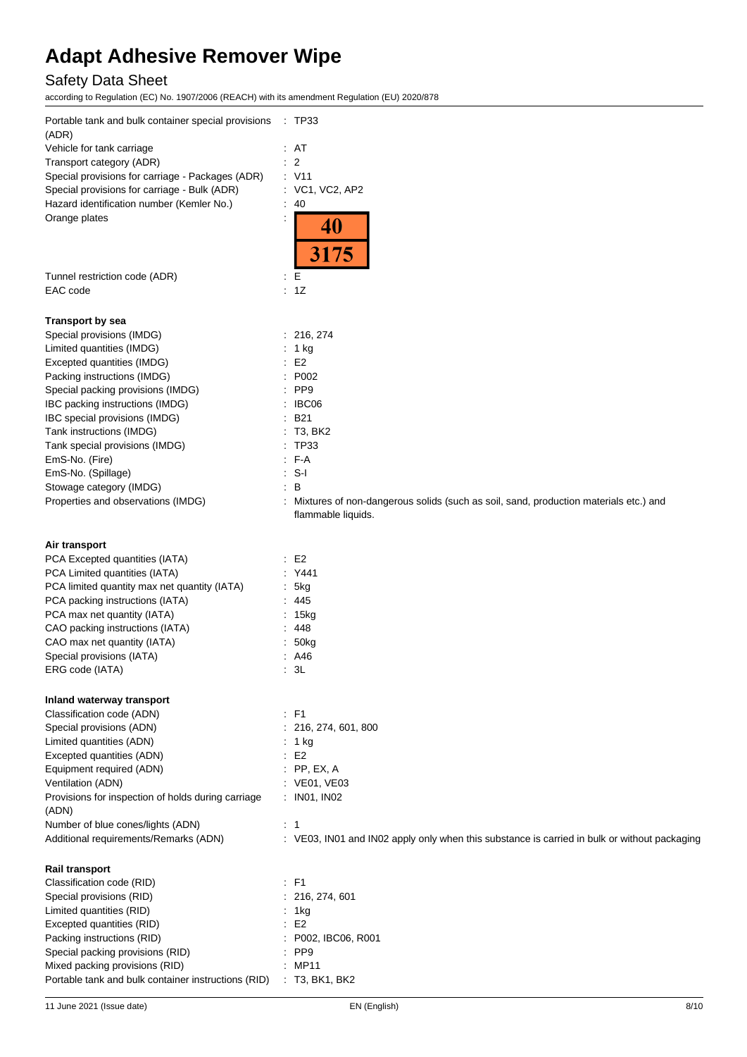# Safety Data Sheet

according to Regulation (EC) No. 1907/2006 (REACH) with its amendment Regulation (EU) 2020/878

| Portable tank and bulk container special provisions<br>(ADR) | $\therefore$ TP33                                                                                          |
|--------------------------------------------------------------|------------------------------------------------------------------------------------------------------------|
| Vehicle for tank carriage                                    | : AT                                                                                                       |
| Transport category (ADR)                                     | $\overline{2}$                                                                                             |
| Special provisions for carriage - Packages (ADR)             | : V11                                                                                                      |
| Special provisions for carriage - Bulk (ADR)                 | : VC1, VC2, AP2<br>40                                                                                      |
| Hazard identification number (Kemler No.)                    |                                                                                                            |
| Orange plates                                                | 40<br>3175                                                                                                 |
| Tunnel restriction code (ADR)                                | E<br>$\ddot{\phantom{a}}$                                                                                  |
| EAC code                                                     | $\div$ 1Z                                                                                                  |
| <b>Transport by sea</b>                                      |                                                                                                            |
| Special provisions (IMDG)                                    | : 216, 274                                                                                                 |
| Limited quantities (IMDG)                                    | : 1 kg                                                                                                     |
| Excepted quantities (IMDG)                                   | E <sub>2</sub>                                                                                             |
| Packing instructions (IMDG)                                  | P002                                                                                                       |
| Special packing provisions (IMDG)                            | PP <sub>9</sub>                                                                                            |
| IBC packing instructions (IMDG)                              | IBC06                                                                                                      |
| IBC special provisions (IMDG)                                | <b>B21</b>                                                                                                 |
| Tank instructions (IMDG)                                     | T3, BK2                                                                                                    |
| Tank special provisions (IMDG)                               | <b>TP33</b>                                                                                                |
| EmS-No. (Fire)                                               | : F-A                                                                                                      |
| EmS-No. (Spillage)                                           | $S-I$                                                                                                      |
| Stowage category (IMDG)                                      | B                                                                                                          |
| Properties and observations (IMDG)                           | Mixtures of non-dangerous solids (such as soil, sand, production materials etc.) and<br>flammable liquids. |
| Air transport                                                |                                                                                                            |
| PCA Excepted quantities (IATA)                               | E <sub>2</sub><br>÷                                                                                        |
| PCA Limited quantities (IATA)                                | Y441                                                                                                       |
| PCA limited quantity max net quantity (IATA)                 | 5kg                                                                                                        |
| PCA packing instructions (IATA)                              | :445                                                                                                       |
| PCA max net quantity (IATA)                                  | : 15kg                                                                                                     |
| CAO packing instructions (IATA)                              | 448                                                                                                        |
| CAO max net quantity (IATA)                                  | 50kg                                                                                                       |
| Special provisions (IATA)                                    | : A46                                                                                                      |
| ERG code (IATA)                                              | 3L                                                                                                         |
| Inland waterway transport                                    |                                                                                                            |
| Classification code (ADN)                                    | : F1                                                                                                       |
| Special provisions (ADN)                                     | 216, 274, 601, 800                                                                                         |
| Limited quantities (ADN)                                     | : 1 kg                                                                                                     |
| Excepted quantities (ADN)                                    | E <sub>2</sub>                                                                                             |
| Equipment required (ADN)                                     | $:$ PP, EX, A                                                                                              |
| Ventilation (ADN)                                            | : VE01, VE03                                                                                               |
| Provisions for inspection of holds during carriage<br>(ADN)  | : IN01, IN02                                                                                               |
| Number of blue cones/lights (ADN)                            | $\therefore$ 1                                                                                             |
| Additional requirements/Remarks (ADN)                        | : VE03, IN01 and IN02 apply only when this substance is carried in bulk or without packaging               |
| <b>Rail transport</b>                                        |                                                                                                            |
| Classification code (RID)                                    | $\therefore$ F1                                                                                            |
| Special provisions (RID)                                     | 216, 274, 601                                                                                              |
| Limited quantities (RID)                                     | 1kg                                                                                                        |
| Excepted quantities (RID)                                    | E <sub>2</sub>                                                                                             |
| Packing instructions (RID)                                   | P002, IBC06, R001                                                                                          |
| Special packing provisions (RID)                             | PP <sub>9</sub>                                                                                            |
| Mixed packing provisions (RID)                               | : MP11                                                                                                     |
| Portable tank and bulk container instructions (RID)          | : T3, BK1, BK2                                                                                             |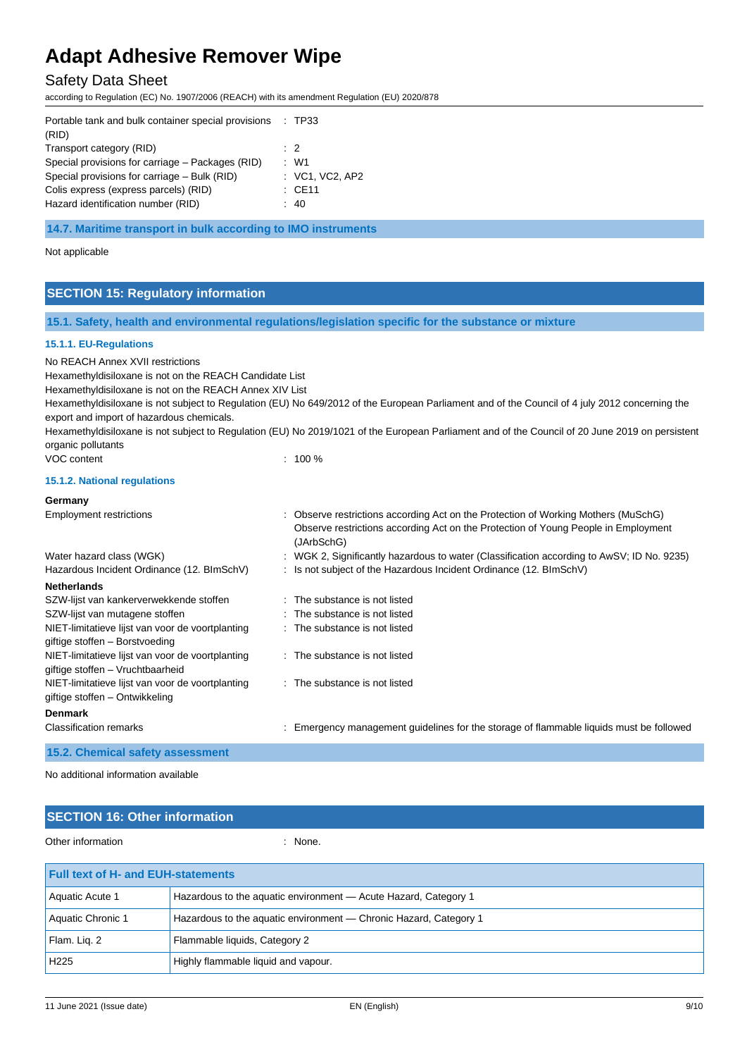# Safety Data Sheet

according to Regulation (EC) No. 1907/2006 (REACH) with its amendment Regulation (EU) 2020/878

| Portable tank and bulk container special provisions : TP33 |                   |
|------------------------------------------------------------|-------------------|
| (RID)                                                      |                   |
| Transport category (RID)                                   | $\cdot$ 2         |
| Special provisions for carriage – Packages (RID)           | $\cdot$ W1        |
| Special provisions for carriage – Bulk (RID)               | : VC1, VC2, AP2   |
| Colis express (express parcels) (RID)                      | $\therefore$ CE11 |
| Hazard identification number (RID)                         | : 40              |
|                                                            |                   |

**14.7. Maritime transport in bulk according to IMO instruments**

Not applicable

# **SECTION 15: Regulatory information**

## **15.1. Safety, health and environmental regulations/legislation specific for the substance or mixture**

### **15.1.1. EU-Regulations**

No REACH Annex XVII restrictions

Hexamethyldisiloxane is not on the REACH Candidate List

Hexamethyldisiloxane is not on the REACH Annex XIV List

Hexamethyldisiloxane is not subject to Regulation (EU) No 649/2012 of the European Parliament and of the Council of 4 july 2012 concerning the export and import of hazardous chemicals.

Hexamethyldisiloxane is not subject to Regulation (EU) No 2019/1021 of the European Parliament and of the Council of 20 June 2019 on persistent organic pollutants

VOC content : 100 %

## **15.1.2. National regulations**

| Germany                                                                              |                                                                                                                                                                                        |
|--------------------------------------------------------------------------------------|----------------------------------------------------------------------------------------------------------------------------------------------------------------------------------------|
| <b>Employment restrictions</b>                                                       | : Observe restrictions according Act on the Protection of Working Mothers (MuSchG)<br>Observe restrictions according Act on the Protection of Young People in Employment<br>(JArbSchG) |
| Water hazard class (WGK)                                                             | : WGK 2, Significantly hazardous to water (Classification according to AwSV; ID No. 9235)                                                                                              |
| Hazardous Incident Ordinance (12. BImSchV)                                           | : Is not subject of the Hazardous Incident Ordinance (12. BImSchV)                                                                                                                     |
| <b>Netherlands</b>                                                                   |                                                                                                                                                                                        |
| SZW-lijst van kankerverwekkende stoffen                                              | : The substance is not listed                                                                                                                                                          |
| SZW-lijst van mutagene stoffen                                                       | : The substance is not listed                                                                                                                                                          |
| NIET-limitatieve lijst van voor de voortplanting<br>giftige stoffen - Borstvoeding   | : The substance is not listed                                                                                                                                                          |
| NIET-limitatieve lijst van voor de voortplanting<br>giftige stoffen – Vruchtbaarheid | : The substance is not listed                                                                                                                                                          |
| NIET-limitatieve lijst van voor de voortplanting<br>giftige stoffen – Ontwikkeling   | : The substance is not listed                                                                                                                                                          |
| <b>Denmark</b>                                                                       |                                                                                                                                                                                        |
| <b>Classification remarks</b>                                                        | : Emergency management guidelines for the storage of flammable liquids must be followed                                                                                                |
| 15.2. Chemical safety assessment                                                     |                                                                                                                                                                                        |

No additional information available

| <b>SECTION 16: Other information</b>      |                                                                   |  |
|-------------------------------------------|-------------------------------------------------------------------|--|
| Other information                         | $:$ None.                                                         |  |
| <b>Full text of H- and EUH-statements</b> |                                                                   |  |
| Aquatic Acute 1                           | Hazardous to the aquatic environment - Acute Hazard, Category 1   |  |
| Aquatic Chronic 1                         | Hazardous to the aquatic environment — Chronic Hazard, Category 1 |  |
| Flam. Lig. 2                              | Flammable liquids, Category 2                                     |  |

H225 Highly flammable liquid and vapour.